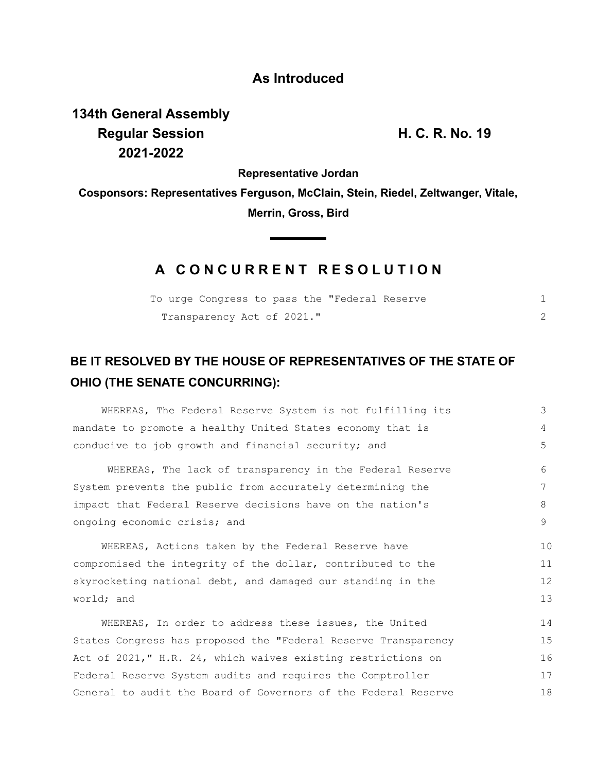## **As Introduced**

**134th General Assembly Regular Session H. C. R. No. 19 2021-2022**

**Representative Jordan**

**Cosponsors: Representatives Ferguson, McClain, Stein, Riedel, Zeltwanger, Vitale, Merrin, Gross, Bird**

 $\blacksquare$ 

## **A C O N C U R R E N T R E S O L U T I O N**

| To urge Congress to pass the "Federal Reserve |  |
|-----------------------------------------------|--|
| Transparency Act of 2021."                    |  |

## **BE IT RESOLVED BY THE HOUSE OF REPRESENTATIVES OF THE STATE OF OHIO (THE SENATE CONCURRING):**

| WHEREAS, The Federal Reserve System is not fulfilling its      | 3  |  |
|----------------------------------------------------------------|----|--|
| mandate to promote a healthy United States economy that is     | 4  |  |
| conducive to job growth and financial security; and            | 5  |  |
| WHEREAS, The lack of transparency in the Federal Reserve       | 6  |  |
| System prevents the public from accurately determining the     | 7  |  |
| impact that Federal Reserve decisions have on the nation's     | 8  |  |
| ongoing economic crisis; and                                   |    |  |
| WHEREAS, Actions taken by the Federal Reserve have             | 10 |  |
| compromised the integrity of the dollar, contributed to the    | 11 |  |
| skyrocketing national debt, and damaged our standing in the    |    |  |
| world; and                                                     |    |  |
| WHEREAS, In order to address these issues, the United          | 14 |  |
| States Congress has proposed the "Federal Reserve Transparency | 15 |  |
| Act of 2021," H.R. 24, which waives existing restrictions on   | 16 |  |
| Federal Reserve System audits and requires the Comptroller     | 17 |  |
| General to audit the Board of Governors of the Federal Reserve |    |  |